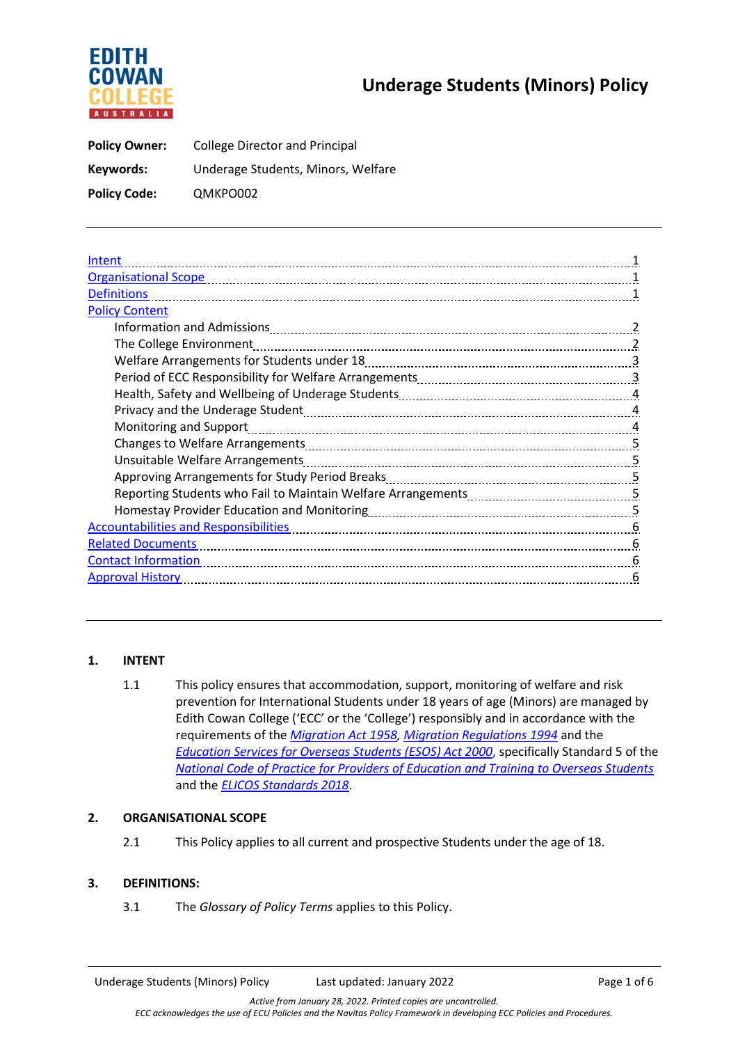# EDITH **AUSTRALIA**

## **Underage Students (Minors) Policy**

| <b>Policy Owner:</b> | <b>College Director and Principal</b> |
|----------------------|---------------------------------------|
| Keywords:            | Underage Students, Minors, Welfare    |
| <b>Policy Code:</b>  | QMKPO002                              |

| Intent                                                                                                                                                                                                                              |  |
|-------------------------------------------------------------------------------------------------------------------------------------------------------------------------------------------------------------------------------------|--|
|                                                                                                                                                                                                                                     |  |
| <b>Definitions</b>                                                                                                                                                                                                                  |  |
| <b>Policy Content</b>                                                                                                                                                                                                               |  |
| 2                                                                                                                                                                                                                                   |  |
| The College Environment                                                                                                                                                                                                             |  |
|                                                                                                                                                                                                                                     |  |
| $\overline{3}$                                                                                                                                                                                                                      |  |
| $\overline{4}$                                                                                                                                                                                                                      |  |
| $\overline{4}$                                                                                                                                                                                                                      |  |
| 4                                                                                                                                                                                                                                   |  |
| 5                                                                                                                                                                                                                                   |  |
|                                                                                                                                                                                                                                     |  |
|                                                                                                                                                                                                                                     |  |
|                                                                                                                                                                                                                                     |  |
| Homestay Provider Education and Monitoring [111] Manuscritt Allen, Manuscritt Allen, Monestay Provider Education and Monitoring [11] Manuscritt Allen, Manuscritt Allen, Manuscritt Allen, Manuscritt Allen, Manuscritt Allen,<br>5 |  |
| <b>Accountabilities and Responsibilities</b><br>6                                                                                                                                                                                   |  |
| <b>Related Documents</b><br>6                                                                                                                                                                                                       |  |
| <b>Contact Information</b><br>6                                                                                                                                                                                                     |  |
| <b>Approval History</b><br>6                                                                                                                                                                                                        |  |

### **1. INTENT**

1.1 This policy ensures that accommodation, support, monitoring of welfare and risk prevention for International Students under 18 years of age (Minors) are managed by Edith Cowan College ('ECC' or the 'College') responsibly and in accordance with the requirements of the *[Migration Act 1958,](https://www.legislation.gov.au/Details/C2021C00156) [Migration Regulations 1994](https://www.legislation.gov.au/Details/F2021C00613)* and the *[Education Services for Overseas Students \(ESOS\) Act 2000](https://www.dese.gov.au/esos-framework/esos-legislative-framework)*, specifically Standard 5 of the *[National Code of Practice for Providers of Education and Training to Overseas Students](https://internationaleducation.gov.au/Regulatory-Information/Pages/National-Code-2018-Factsheets-.aspx)* and the *ELICOS Standards 2018*.

#### **2. ORGANISATIONAL SCOPE**

2.1 This Policy applies to all current and prospective Students under the age of 18.

#### **3. DEFINITIONS:**

3.1 The *Glossary of Policy Terms* applies to this Policy.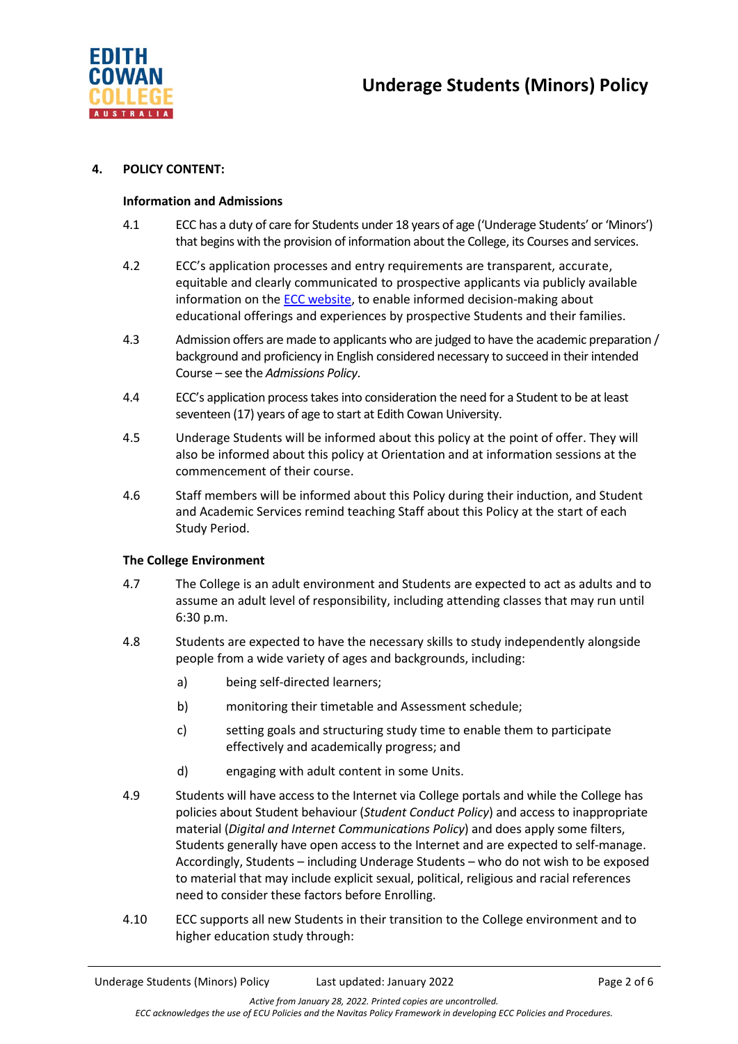

#### **4. POLICY CONTENT:**

#### **Information and Admissions**

- 4.1 ECC has a duty of care for Students under 18 years of age ('Underage Students' or 'Minors') that begins with the provision of information about the College, its Courses and services.
- 4.2 ECC's application processes and entry requirements are transparent, accurate, equitable and clearly communicated to prospective applicants via publicly available information on the [ECC website,](https://www.edithcowancollege.edu.au/important-dates) to enable informed decision-making about educational offerings and experiences by prospective Students and their families.
- 4.3 Admission offers are made to applicants who are judged to have the academic preparation / background and proficiency in English considered necessary to succeed in their intended Course – see the *Admissions Policy*.
- 4.4 ECC's application process takes into consideration the need for a Student to be at least seventeen (17) years of age to start at Edith Cowan University.
- 4.5 Underage Students will be informed about this policy at the point of offer. They will also be informed about this policy at Orientation and at information sessions at the commencement of their course.
- 4.6 Staff members will be informed about this Policy during their induction, and Student and Academic Services remind teaching Staff about this Policy at the start of each Study Period.

#### **The College Environment**

- 4.7 The College is an adult environment and Students are expected to act as adults and to assume an adult level of responsibility, including attending classes that may run until 6:30 p.m.
- 4.8 Students are expected to have the necessary skills to study independently alongside people from a wide variety of ages and backgrounds, including:
	- a) being self-directed learners;
	- b) monitoring their timetable and Assessment schedule;
	- c) setting goals and structuring study time to enable them to participate effectively and academically progress; and
	- d) engaging with adult content in some Units.
- 4.9 Students will have access to the Internet via College portals and while the College has policies about Student behaviour (*Student Conduct Policy*) and access to inappropriate material (*Digital and Internet Communications Policy*) and does apply some filters, Students generally have open access to the Internet and are expected to self-manage. Accordingly, Students – including Underage Students – who do not wish to be exposed to material that may include explicit sexual, political, religious and racial references need to consider these factors before Enrolling.
- 4.10 ECC supports all new Students in their transition to the College environment and to higher education study through: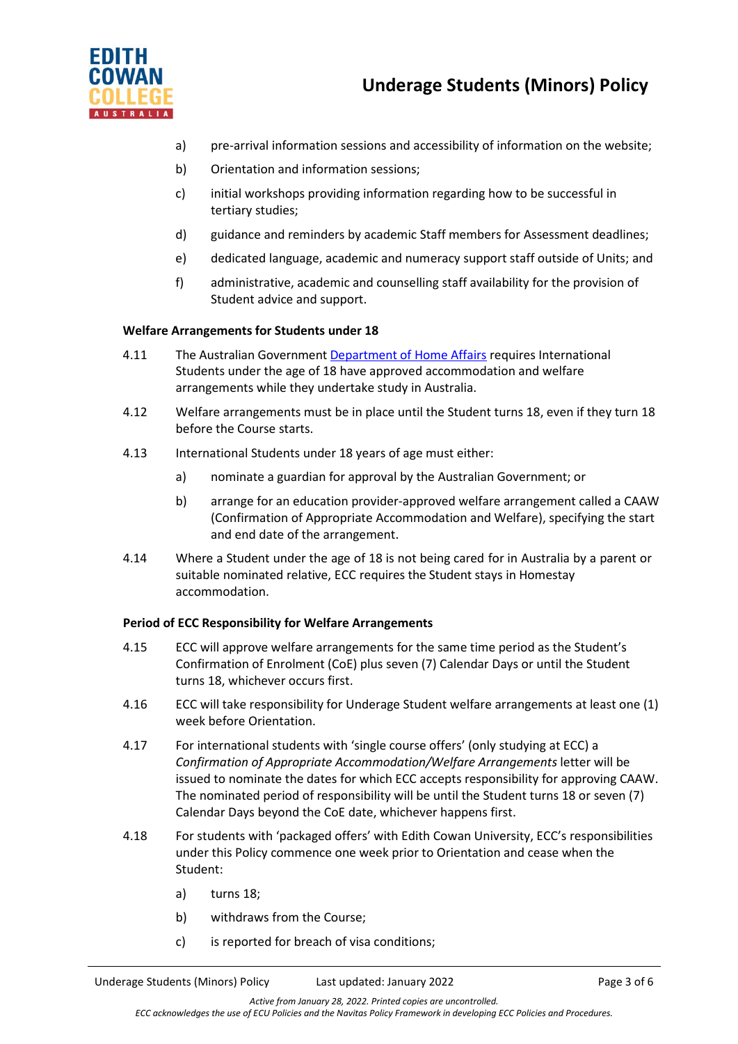

- a) pre-arrival information sessions and accessibility of information on the website;
- b) Orientation and information sessions;
- c) initial workshops providing information regarding how to be successful in tertiary studies;
- d) guidance and reminders by academic Staff members for Assessment deadlines;
- e) dedicated language, academic and numeracy support staff outside of Units; and
- f) administrative, academic and counselling staff availability for the provision of Student advice and support.

#### **Welfare Arrangements for Students under 18**

- 4.11 The Australian Governmen[t Department](https://immi.homeaffairs.gov.au/visas/getting-a-visa/visa-listing/student-500/welfare-arrangements-students-under-18) of Home Affairs requires International Students under the age of 18 have approved accommodation and welfare arrangements while they undertake study in Australia.
- 4.12 Welfare arrangements must be in place until the Student turns 18, even if they turn 18 before the Course starts.
- 4.13 International Students under 18 years of age must either:
	- a) nominate a guardian for approval by the Australian Government; or
	- b) arrange for an education provider-approved welfare arrangement called a CAAW (Confirmation of Appropriate Accommodation and Welfare), specifying the start and end date of the arrangement.
- 4.14 Where a Student under the age of 18 is not being cared for in Australia by a parent or suitable nominated relative, ECC requires the Student stays in Homestay accommodation.

#### **Period of ECC Responsibility for Welfare Arrangements**

- 4.15 ECC will approve welfare arrangements for the same time period as the Student's Confirmation of Enrolment (CoE) plus seven (7) Calendar Days or until the Student turns 18, whichever occurs first.
- 4.16 ECC will take responsibility for Underage Student welfare arrangements at least one (1) week before Orientation.
- 4.17 For international students with 'single course offers' (only studying at ECC) a *Confirmation of Appropriate Accommodation/Welfare Arrangements* letter will be issued to nominate the dates for which ECC accepts responsibility for approving CAAW. The nominated period of responsibility will be until the Student turns 18 or seven (7) Calendar Days beyond the CoE date, whichever happens first.
- 4.18 For students with 'packaged offers' with Edith Cowan University, ECC's responsibilities under this Policy commence one week prior to Orientation and cease when the Student:
	- a) turns 18;
	- b) withdraws from the Course;
	- c) is reported for breach of visa conditions;

*Active from January 28, 2022. Printed copies are uncontrolled. ECC acknowledges the use of ECU Policies and the Navitas Policy Framework in developing ECC Policies and Procedures.*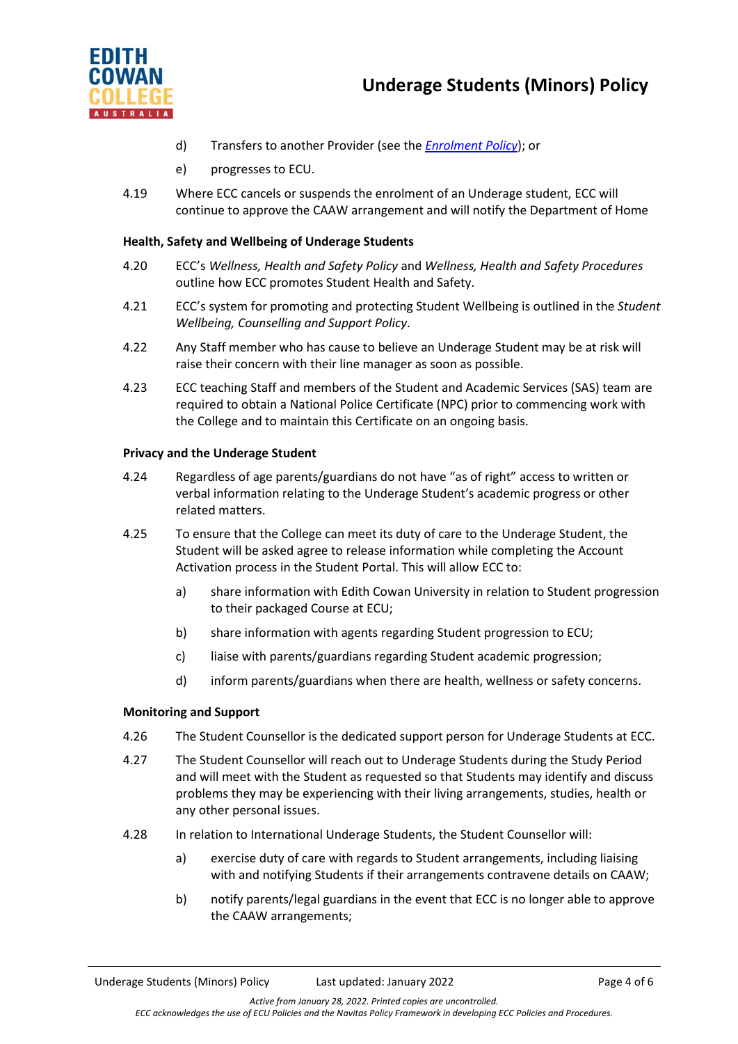



- d) Transfers to another Provider (see the *[Enrolment Policy](https://www.edithcowancollege.edu.au/policies)*); or
- e) progresses to ECU.
- 4.19 Where ECC cancels or suspends the enrolment of an Underage student, ECC will continue to approve the CAAW arrangement and will notify the Department of Home

#### **Health, Safety and Wellbeing of Underage Students**

- 4.20 ECC's *Wellness, Health and Safety Policy* and *Wellness, Health and Safety Procedures* outline how ECC promotes Student Health and Safety.
- 4.21 ECC's system for promoting and protecting Student Wellbeing is outlined in the *Student Wellbeing, Counselling and Support Policy*.
- 4.22 Any Staff member who has cause to believe an Underage Student may be at risk will raise their concern with their line manager as soon as possible.
- 4.23 ECC teaching Staff and members of the Student and Academic Services (SAS) team are required to obtain a National Police Certificate (NPC) prior to commencing work with the College and to maintain this Certificate on an ongoing basis.

#### **Privacy and the Underage Student**

- 4.24 Regardless of age parents/guardians do not have "as of right" access to written or verbal information relating to the Underage Student's academic progress or other related matters.
- 4.25 To ensure that the College can meet its duty of care to the Underage Student, the Student will be asked agree to release information while completing the Account Activation process in the Student Portal. This will allow ECC to:
	- a) share information with Edith Cowan University in relation to Student progression to their packaged Course at ECU;
	- b) share information with agents regarding Student progression to ECU;
	- c) liaise with parents/guardians regarding Student academic progression;
	- d) inform parents/guardians when there are health, wellness or safety concerns.

#### **Monitoring and Support**

- 4.26 The Student Counsellor is the dedicated support person for Underage Students at ECC.
- 4.27 The Student Counsellor will reach out to Underage Students during the Study Period and will meet with the Student as requested so that Students may identify and discuss problems they may be experiencing with their living arrangements, studies, health or any other personal issues.
- 4.28 In relation to International Underage Students, the Student Counsellor will:
	- a) exercise duty of care with regards to Student arrangements, including liaising with and notifying Students if their arrangements contravene details on CAAW;
	- b) notify parents/legal guardians in the event that ECC is no longer able to approve the CAAW arrangements;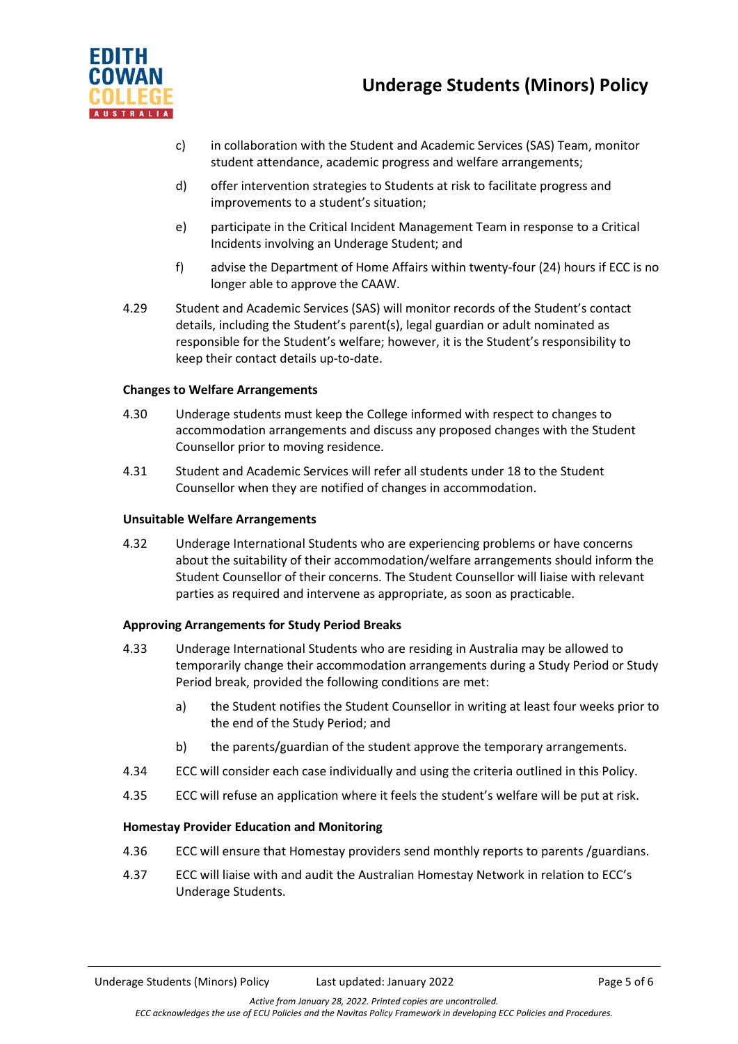

- c) in collaboration with the Student and Academic Services (SAS) Team, monitor student attendance, academic progress and welfare arrangements;
- d) offer intervention strategies to Students at risk to facilitate progress and improvements to a student's situation;
- e) participate in the Critical Incident Management Team in response to a Critical Incidents involving an Underage Student; and
- f) advise the Department of Home Affairs within twenty-four (24) hours if ECC is no longer able to approve the CAAW.
- 4.29 Student and Academic Services (SAS) will monitor records of the Student's contact details, including the Student's parent(s), legal guardian or adult nominated as responsible for the Student's welfare; however, it is the Student's responsibility to keep their contact details up-to-date.

#### **Changes to Welfare Arrangements**

- 4.30 Underage students must keep the College informed with respect to changes to accommodation arrangements and discuss any proposed changes with the Student Counsellor prior to moving residence.
- 4.31 Student and Academic Services will refer all students under 18 to the Student Counsellor when they are notified of changes in accommodation.

#### **Unsuitable Welfare Arrangements**

4.32 Underage International Students who are experiencing problems or have concerns about the suitability of their accommodation/welfare arrangements should inform the Student Counsellor of their concerns. The Student Counsellor will liaise with relevant parties as required and intervene as appropriate, as soon as practicable.

#### **Approving Arrangements for Study Period Breaks**

- 4.33 Underage International Students who are residing in Australia may be allowed to temporarily change their accommodation arrangements during a Study Period or Study Period break, provided the following conditions are met:
	- a) the Student notifies the Student Counsellor in writing at least four weeks prior to the end of the Study Period; and
	- b) the parents/guardian of the student approve the temporary arrangements.
- 4.34 ECC will consider each case individually and using the criteria outlined in this Policy.
- 4.35 ECC will refuse an application where it feels the student's welfare will be put at risk.

#### **Homestay Provider Education and Monitoring**

- 4.36 ECC will ensure that Homestay providers send monthly reports to parents /guardians.
- 4.37 ECC will liaise with and audit the Australian Homestay Network in relation to ECC's Underage Students.